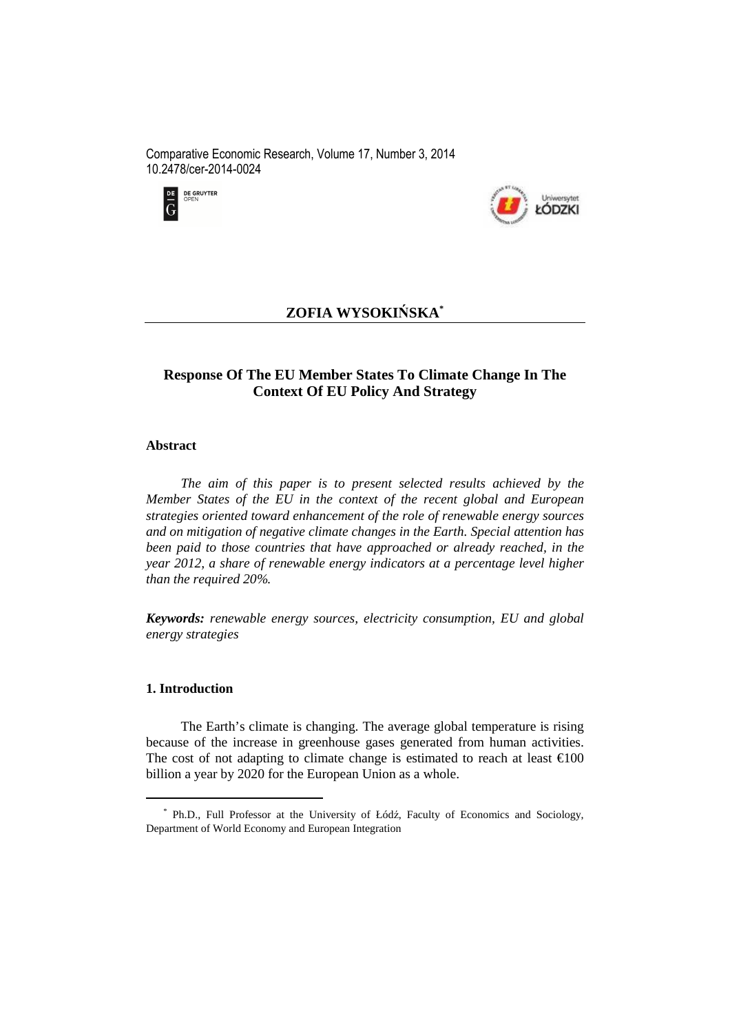Comparative Economic Research, Volume 17, Number 3, 2014 10.2478/cer-2014-0024





# **ZOFIA WYSOKIŃSKA\***

# **Response Of The EU Member States To Climate Change In The Context Of EU Policy And Strategy**

#### **Abstract**

*The aim of this paper is to present selected results achieved by the Member States of the EU in the context of the recent global and European strategies oriented toward enhancement of the role of renewable energy sources and on mitigation of negative climate changes in the Earth. Special attention has been paid to those countries that have approached or already reached, in the year 2012, a share of renewable energy indicators at a percentage level higher than the required 20%.* 

*Keywords: renewable energy sources, electricity consumption, EU and global energy strategies* 

### **1. Introduction**

 $\overline{a}$ 

The Earth's climate is changing. The average global temperature is rising because of the increase in greenhouse gases generated from human activities. The cost of not adapting to climate change is estimated to reach at least  $\epsilon$ 100 billion a year by 2020 for the European Union as a whole.

<sup>\*</sup> Ph.D., Full Professor at the University of Łódź, Faculty of Economics and Sociology, Department of World Economy and European Integration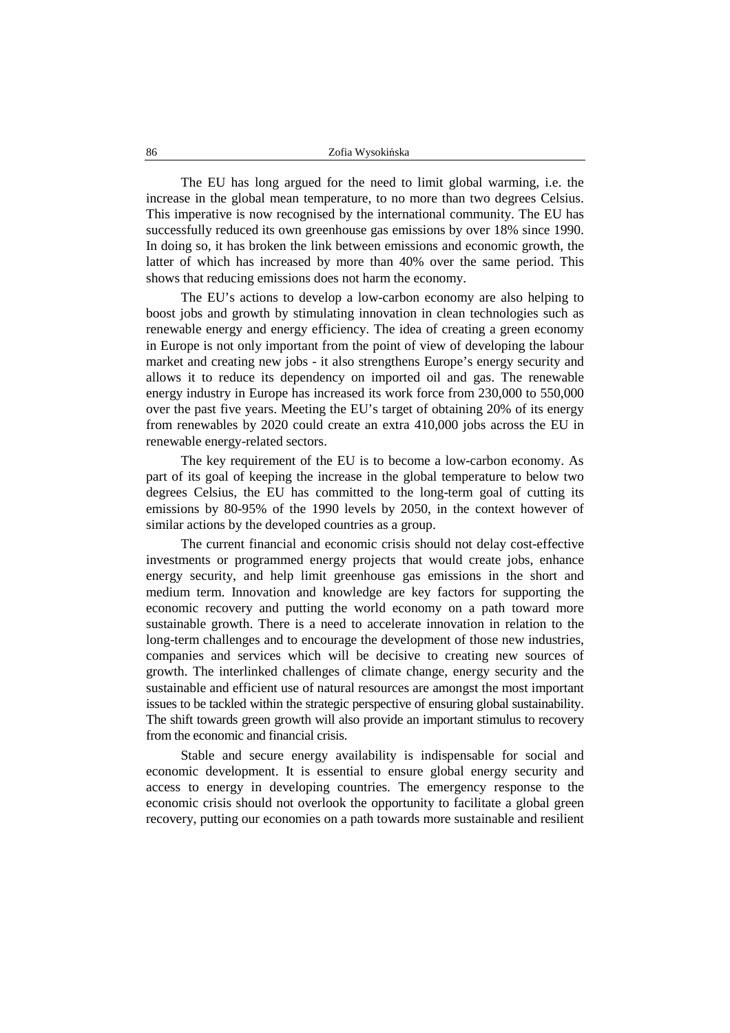The EU has long argued for the need to limit global warming, i.e. the increase in the global mean temperature, to no more than two degrees Celsius. This imperative is now recognised by the international community. The EU has successfully reduced its own greenhouse gas emissions by over 18% since 1990. In doing so, it has broken the link between emissions and economic growth, the latter of which has increased by more than 40% over the same period. This shows that reducing emissions does not harm the economy.

The EU's actions to develop a low-carbon economy are also helping to boost jobs and growth by stimulating innovation in clean technologies such as renewable energy and energy efficiency. The idea of creating a green economy in Europe is not only important from the point of view of developing the labour market and creating new jobs - it also strengthens Europe's energy security and allows it to reduce its dependency on imported oil and gas. The renewable energy industry in Europe has increased its work force from 230,000 to 550,000 over the past five years. Meeting the EU's target of obtaining 20% of its energy from renewables by 2020 could create an extra 410,000 jobs across the EU in renewable energy-related sectors.

The key requirement of the EU is to become a low-carbon economy. As part of its goal of keeping the increase in the global temperature to below two degrees Celsius, the EU has committed to the long-term goal of cutting its emissions by 80-95% of the 1990 levels by 2050, in the context however of similar actions by the developed countries as a group.

The current financial and economic crisis should not delay cost-effective investments or programmed energy projects that would create jobs, enhance energy security, and help limit greenhouse gas emissions in the short and medium term. Innovation and knowledge are key factors for supporting the economic recovery and putting the world economy on a path toward more sustainable growth. There is a need to accelerate innovation in relation to the long-term challenges and to encourage the development of those new industries, companies and services which will be decisive to creating new sources of growth. The interlinked challenges of climate change, energy security and the sustainable and efficient use of natural resources are amongst the most important issues to be tackled within the strategic perspective of ensuring global sustainability. The shift towards green growth will also provide an important stimulus to recovery from the economic and financial crisis.

Stable and secure energy availability is indispensable for social and economic development. It is essential to ensure global energy security and access to energy in developing countries. The emergency response to the economic crisis should not overlook the opportunity to facilitate a global green recovery, putting our economies on a path towards more sustainable and resilient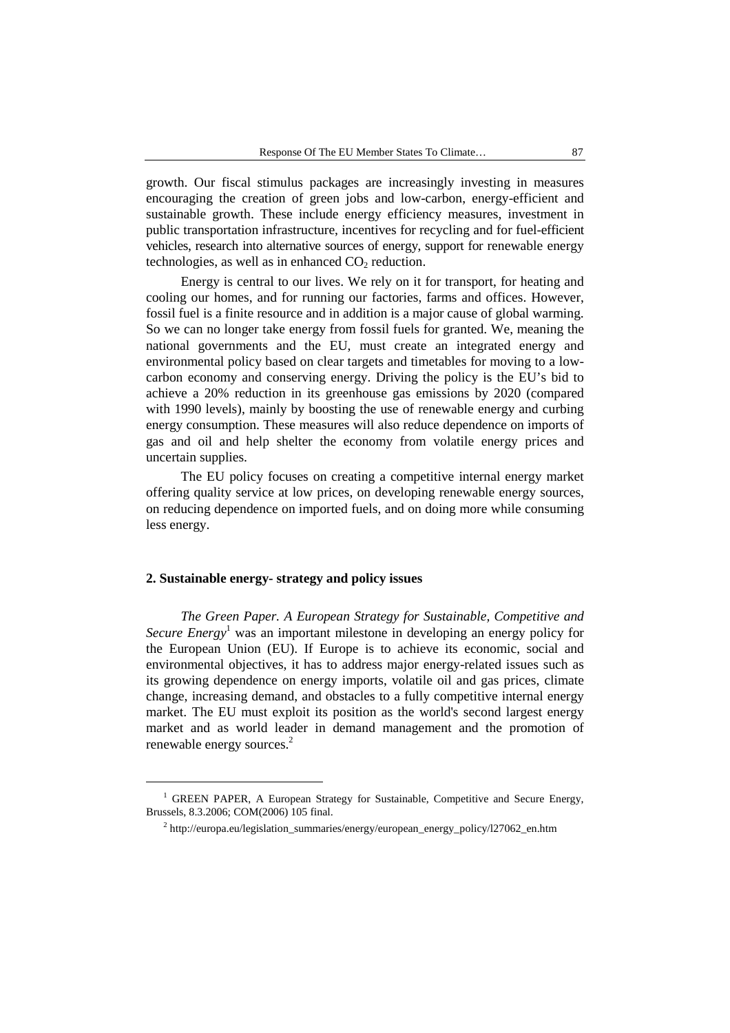growth. Our fiscal stimulus packages are increasingly investing in measures encouraging the creation of green jobs and low-carbon, energy-efficient and sustainable growth. These include energy efficiency measures, investment in public transportation infrastructure, incentives for recycling and for fuel-efficient vehicles, research into alternative sources of energy, support for renewable energy technologies, as well as in enhanced  $CO<sub>2</sub>$  reduction.

Energy is central to our lives. We rely on it for transport, for heating and cooling our homes, and for running our factories, farms and offices. However, fossil fuel is a finite resource and in addition is a major cause of global warming. So we can no longer take energy from fossil fuels for granted. We, meaning the national governments and the EU, must create an integrated energy and environmental policy based on clear targets and timetables for moving to a lowcarbon economy and conserving energy. Driving the policy is the EU's bid to achieve a 20% reduction in its greenhouse gas emissions by 2020 (compared with 1990 levels), mainly by boosting the use of renewable energy and curbing energy consumption. These measures will also reduce dependence on imports of gas and oil and help shelter the economy from volatile energy prices and uncertain supplies.

The EU policy focuses on creating a competitive internal energy market offering quality service at low prices, on developing renewable energy sources, on reducing dependence on imported fuels, and on doing more while consuming less energy.

### **2. Sustainable energy- strategy and policy issues**

 $\overline{a}$ 

*The Green Paper. A European Strategy for Sustainable, Competitive and Secure Energy*<sup>1</sup> was an important milestone in developing an energy policy for the European Union (EU). If Europe is to achieve its economic, social and environmental objectives, it has to address major energy-related issues such as its growing dependence on energy imports, volatile oil and gas prices, climate change, increasing demand, and obstacles to a fully competitive internal energy market. The EU must exploit its position as the world's second largest energy market and as world leader in demand management and the promotion of renewable energy sources.<sup>2</sup>

<sup>&</sup>lt;sup>1</sup> GREEN PAPER, A European Strategy for Sustainable, Competitive and Secure Energy, Brussels, 8.3.2006; COM(2006) 105 final.

<sup>&</sup>lt;sup>2</sup> http://europa.eu/legislation\_summaries/energy/european\_energy\_policy/127062\_en.htm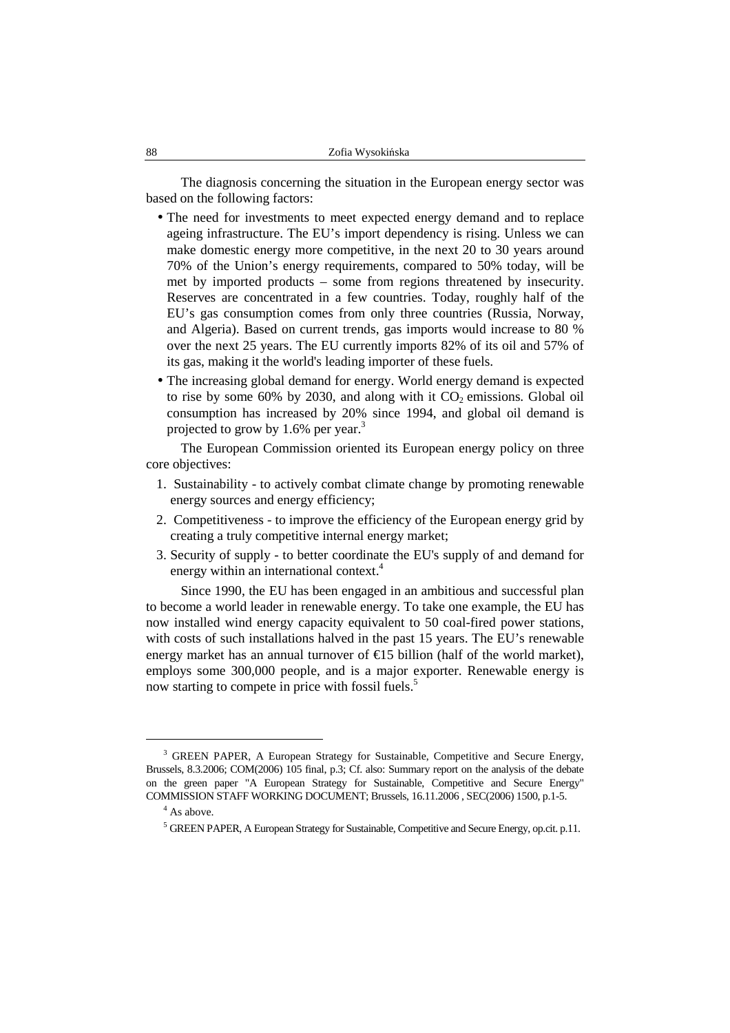The diagnosis concerning the situation in the European energy sector was based on the following factors:

- The need for investments to meet expected energy demand and to replace ageing infrastructure. The EU's import dependency is rising. Unless we can make domestic energy more competitive, in the next 20 to 30 years around 70% of the Union's energy requirements, compared to 50% today, will be met by imported products – some from regions threatened by insecurity. Reserves are concentrated in a few countries. Today, roughly half of the EU's gas consumption comes from only three countries (Russia, Norway, and Algeria). Based on current trends, gas imports would increase to 80 % over the next 25 years. The EU currently imports 82% of its oil and 57% of its gas, making it the world's leading importer of these fuels.
- The increasing global demand for energy. World energy demand is expected to rise by some 60% by 2030, and along with it  $CO<sub>2</sub>$  emissions. Global oil consumption has increased by 20% since 1994, and global oil demand is projected to grow by 1.6% per year.<sup>3</sup>

The European Commission oriented its European energy policy on three core objectives:

- 1. Sustainability to actively combat climate change by promoting renewable energy sources and energy efficiency;
- 2. Competitiveness to improve the efficiency of the European energy grid by creating a truly competitive internal energy market;
- 3. Security of supply to better coordinate the EU's supply of and demand for energy within an international context.<sup>4</sup>

Since 1990, the EU has been engaged in an ambitious and successful plan to become a world leader in renewable energy. To take one example, the EU has now installed wind energy capacity equivalent to 50 coal-fired power stations, with costs of such installations halved in the past 15 years. The EU's renewable energy market has an annual turnover of  $\epsilon$ 15 billion (half of the world market), employs some 300,000 people, and is a major exporter. Renewable energy is now starting to compete in price with fossil fuels.<sup>5</sup>

<sup>&</sup>lt;sup>3</sup> GREEN PAPER, A European Strategy for Sustainable, Competitive and Secure Energy, Brussels, 8.3.2006; COM(2006) 105 final, p.3; Cf. also: Summary report on the analysis of the debate on the green paper "A European Strategy for Sustainable, Competitive and Secure Energy" COMMISSION STAFF WORKING DOCUMENT; Brussels, 16.11.2006 , SEC(2006) 1500, p.1-5.

<sup>&</sup>lt;sup>4</sup> As above.

<sup>&</sup>lt;sup>5</sup> GREEN PAPER, A European Strategy for Sustainable, Competitive and Secure Energy, op.cit. p.11.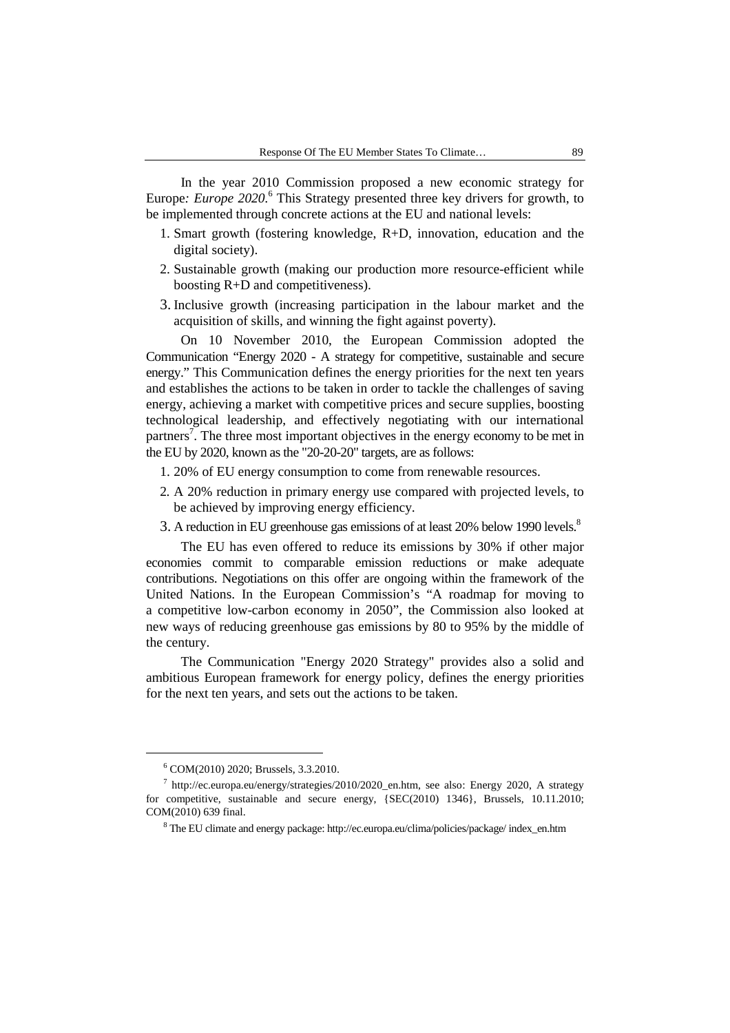In the year 2010 Commission proposed a new economic strategy for Europe*: Europe 2020.*<sup>6</sup> This Strategy presented three key drivers for growth, to be implemented through concrete actions at the EU and national levels:

- 1. Smart growth (fostering knowledge, R+D, innovation, education and the digital society).
- 2. Sustainable growth (making our production more resource-efficient while boosting R+D and competitiveness).
- 3. Inclusive growth (increasing participation in the labour market and the acquisition of skills, and winning the fight against poverty).

On 10 November 2010, the European Commission adopted the Communication "Energy 2020 - A strategy for competitive, sustainable and secure energy." This Communication defines the energy priorities for the next ten years and establishes the actions to be taken in order to tackle the challenges of saving energy, achieving a market with competitive prices and secure supplies, boosting technological leadership, and effectively negotiating with our international partners<sup>7</sup>. The three most important objectives in the energy economy to be met in the EU by 2020, known as the "20-20-20" targets, are as follows:

- 1. 20% of EU energy consumption to come from renewable resources.
- 2. A 20% reduction in primary energy use compared with projected levels, to be achieved by improving energy efficiency.
- 3. A reduction in EU greenhouse gas emissions of at least 20% below 1990 levels.<sup>8</sup>

The EU has even offered to reduce its emissions by 30% if other major economies commit to comparable emission reductions or make adequate contributions. Negotiations on this offer are ongoing within the framework of the United Nations. In the European Commission's "A roadmap for moving to a competitive low-carbon economy in 2050", the Commission also looked at new ways of reducing greenhouse gas emissions by 80 to 95% by the middle of the century.

The Communication "Energy 2020 Strategy" provides also a solid and ambitious European framework for energy policy, defines the energy priorities for the next ten years, and sets out the actions to be taken.

<sup>6</sup> COM(2010) 2020; Brussels, 3.3.2010.

<sup>7</sup> http://ec.europa.eu/energy/strategies/2010/2020\_en.htm, see also: Energy 2020, A strategy for competitive, sustainable and secure energy, {SEC(2010) 1346}, Brussels, 10.11.2010; COM(2010) 639 final.

<sup>&</sup>lt;sup>8</sup> The EU climate and energy package: http://ec.europa.eu/clima/policies/package/index\_en.htm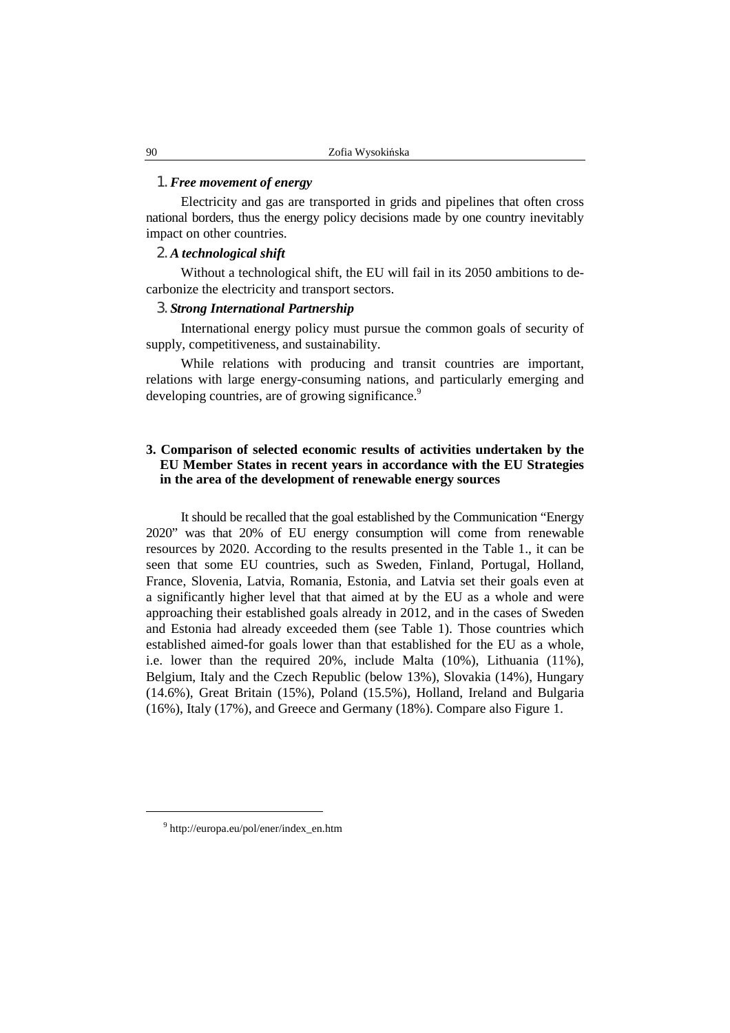### 1. *Free movement of energy*

Electricity and gas are transported in grids and pipelines that often cross national borders, thus the energy policy decisions made by one country inevitably impact on other countries.

#### 2. *A technological shift*

Without a technological shift, the EU will fail in its 2050 ambitions to decarbonize the electricity and transport sectors.

#### 3. *Strong International Partnership*

International energy policy must pursue the common goals of security of supply, competitiveness, and sustainability.

While relations with producing and transit countries are important, relations with large energy-consuming nations, and particularly emerging and developing countries, are of growing significance.<sup>9</sup>

# **3. Comparison of selected economic results of activities undertaken by the EU Member States in recent years in accordance with the EU Strategies in the area of the development of renewable energy sources**

It should be recalled that the goal established by the Communication "Energy 2020" was that 20% of EU energy consumption will come from renewable resources by 2020. According to the results presented in the Table 1., it can be seen that some EU countries, such as Sweden, Finland, Portugal, Holland, France, Slovenia, Latvia, Romania, Estonia, and Latvia set their goals even at a significantly higher level that that aimed at by the EU as a whole and were approaching their established goals already in 2012, and in the cases of Sweden and Estonia had already exceeded them (see Table 1). Those countries which established aimed-for goals lower than that established for the EU as a whole, i.e. lower than the required 20%, include Malta (10%), Lithuania (11%), Belgium, Italy and the Czech Republic (below 13%), Slovakia (14%), Hungary (14.6%), Great Britain (15%), Poland (15.5%), Holland, Ireland and Bulgaria (16%), Italy (17%), and Greece and Germany (18%). Compare also Figure 1.

<sup>9</sup> http://europa.eu/pol/ener/index\_en.htm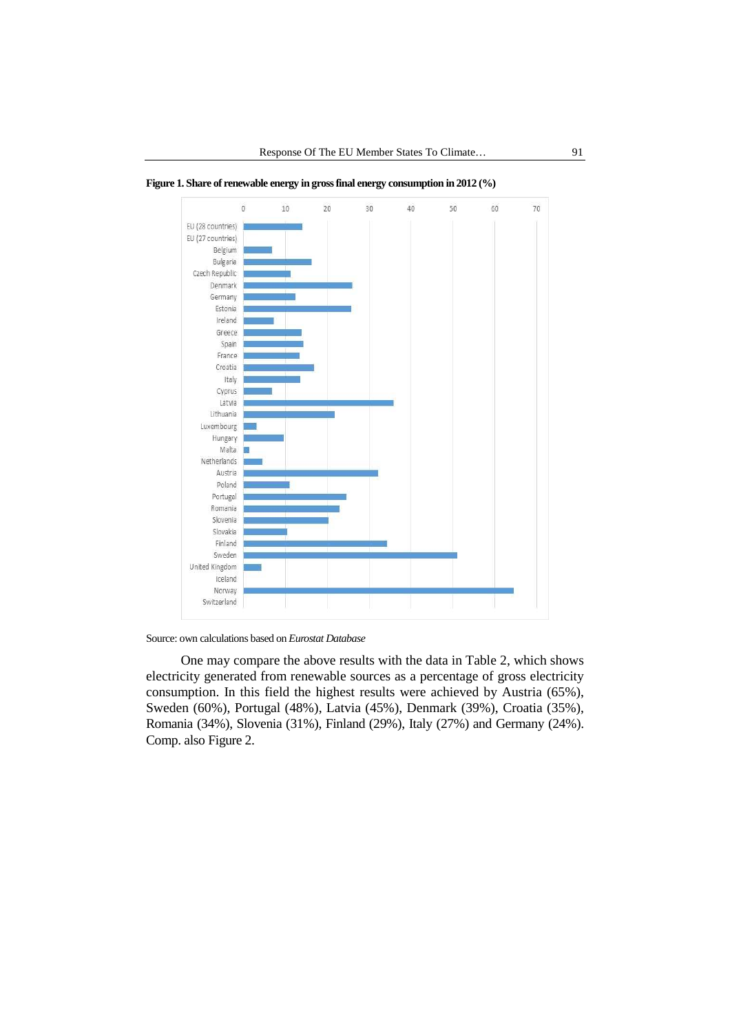

**Figure 1. Share of renewable energy in gross final energy consumption in 2012 (%)** 

Source: own calculations based on *Eurostat Database*

One may compare the above results with the data in Table 2, which shows electricity generated from renewable sources as a percentage of gross electricity consumption. In this field the highest results were achieved by Austria (65%), Sweden (60%), Portugal (48%), Latvia (45%), Denmark (39%), Croatia (35%), Romania (34%), Slovenia (31%), Finland (29%), Italy (27%) and Germany (24%). Comp. also Figure 2.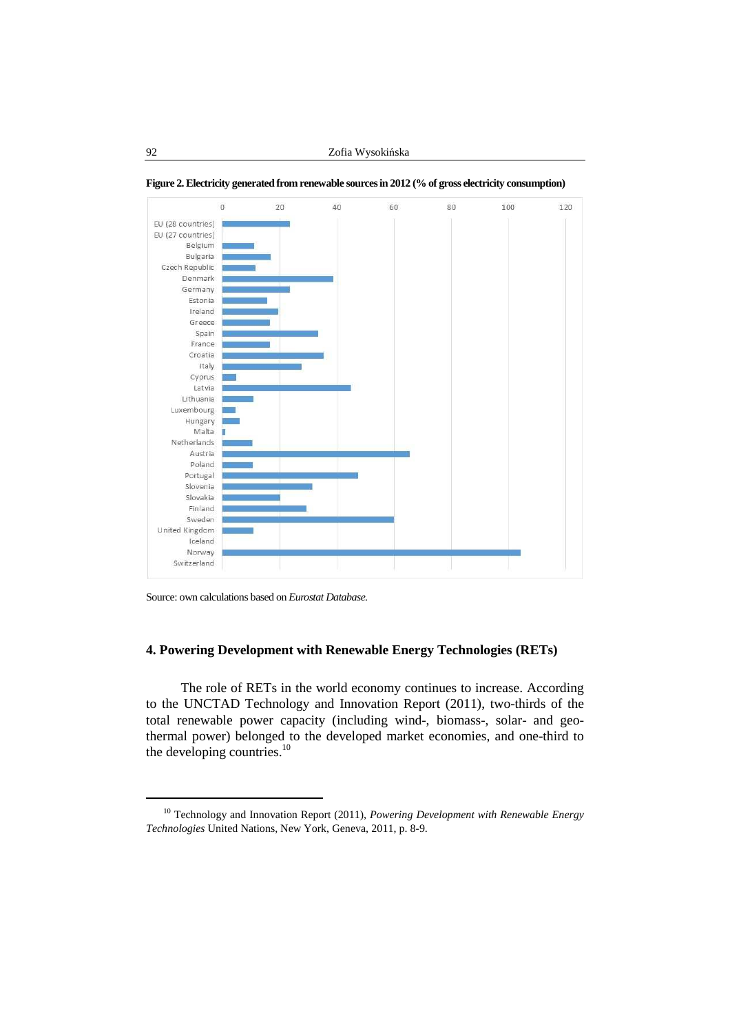

**Figure 2. Electricity generated from renewable sources in 2012 (% of gross electricity consumption)** 

Source: own calculations based on *Eurostat Database.*

# **4. Powering Development with Renewable Energy Technologies (RETs)**

The role of RETs in the world economy continues to increase. According to the UNCTAD Technology and Innovation Report (2011), two-thirds of the total renewable power capacity (including wind-, biomass-, solar- and geothermal power) belonged to the developed market economies, and one-third to the developing countries.<sup>10</sup>

<sup>10</sup> Technology and Innovation Report (2011), *Powering Development with Renewable Energy Technologies* United Nations, New York, Geneva, 2011, p. 8-9.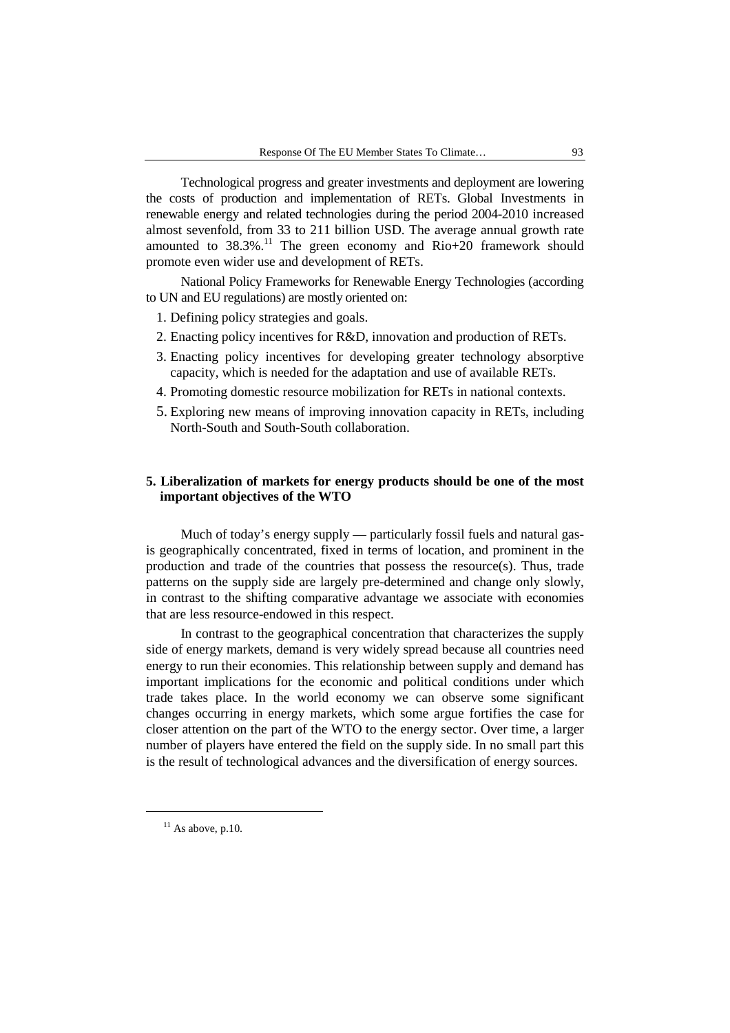Technological progress and greater investments and deployment are lowering the costs of production and implementation of RETs. Global Investments in renewable energy and related technologies during the period 2004-2010 increased almost sevenfold, from 33 to 211 billion USD. The average annual growth rate amounted to  $38.3\%$ .<sup>11</sup> The green economy and Rio+20 framework should promote even wider use and development of RETs.

National Policy Frameworks for Renewable Energy Technologies (according to UN and EU regulations) are mostly oriented on:

- 1. Defining policy strategies and goals.
- 2. Enacting policy incentives for R&D, innovation and production of RETs.
- 3. Enacting policy incentives for developing greater technology absorptive capacity, which is needed for the adaptation and use of available RETs.
- 4. Promoting domestic resource mobilization for RETs in national contexts.
- 5. Exploring new means of improving innovation capacity in RETs, including North-South and South-South collaboration.

# **5. Liberalization of markets for energy products should be one of the most important objectives of the WTO**

Much of today's energy supply — particularly fossil fuels and natural gasis geographically concentrated, fixed in terms of location, and prominent in the production and trade of the countries that possess the resource(s). Thus, trade patterns on the supply side are largely pre-determined and change only slowly, in contrast to the shifting comparative advantage we associate with economies that are less resource-endowed in this respect.

In contrast to the geographical concentration that characterizes the supply side of energy markets, demand is very widely spread because all countries need energy to run their economies. This relationship between supply and demand has important implications for the economic and political conditions under which trade takes place. In the world economy we can observe some significant changes occurring in energy markets, which some argue fortifies the case for closer attention on the part of the WTO to the energy sector. Over time, a larger number of players have entered the field on the supply side. In no small part this is the result of technological advances and the diversification of energy sources.

 $11$  As above, p.10.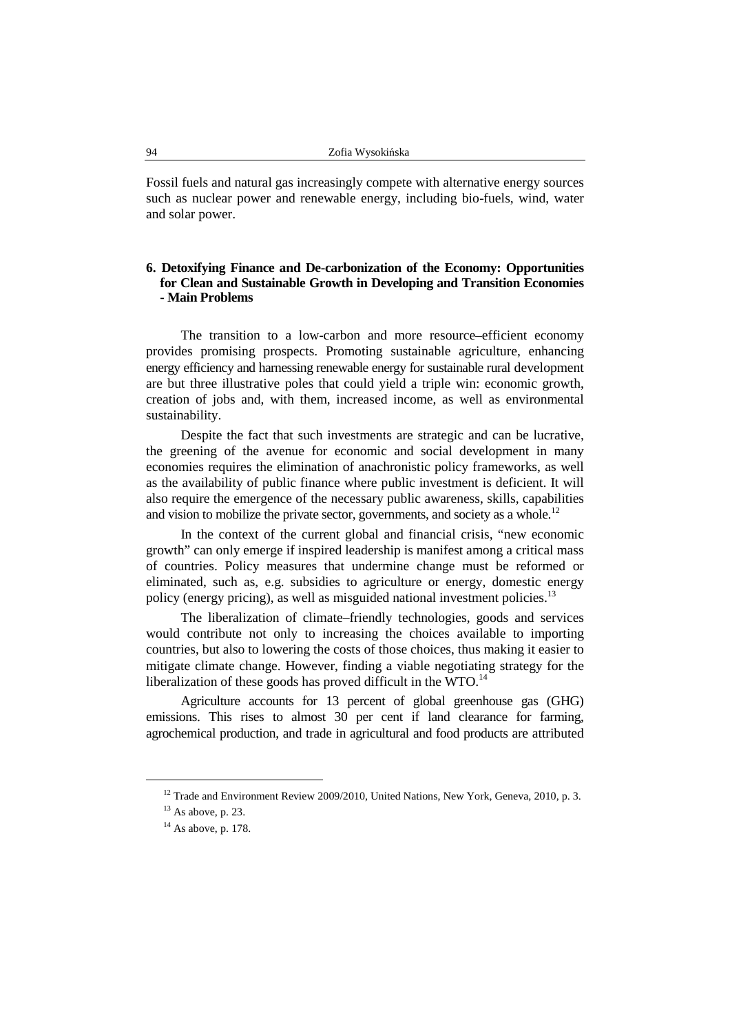Fossil fuels and natural gas increasingly compete with alternative energy sources such as nuclear power and renewable energy, including bio-fuels, wind, water and solar power.

# **6. Detoxifying Finance and De-carbonization of the Economy: Opportunities for Clean and Sustainable Growth in Developing and Transition Economies - Main Problems**

The transition to a low-carbon and more resource–efficient economy provides promising prospects. Promoting sustainable agriculture, enhancing energy efficiency and harnessing renewable energy for sustainable rural development are but three illustrative poles that could yield a triple win: economic growth, creation of jobs and, with them, increased income, as well as environmental sustainability.

Despite the fact that such investments are strategic and can be lucrative, the greening of the avenue for economic and social development in many economies requires the elimination of anachronistic policy frameworks, as well as the availability of public finance where public investment is deficient. It will also require the emergence of the necessary public awareness, skills, capabilities and vision to mobilize the private sector, governments, and society as a whole.<sup>12</sup>

In the context of the current global and financial crisis, "new economic growth" can only emerge if inspired leadership is manifest among a critical mass of countries. Policy measures that undermine change must be reformed or eliminated, such as, e.g. subsidies to agriculture or energy, domestic energy policy (energy pricing), as well as misguided national investment policies.<sup>13</sup>

The liberalization of climate–friendly technologies, goods and services would contribute not only to increasing the choices available to importing countries, but also to lowering the costs of those choices, thus making it easier to mitigate climate change. However, finding a viable negotiating strategy for the liberalization of these goods has proved difficult in the WTO. $^{14}$ 

Agriculture accounts for 13 percent of global greenhouse gas (GHG) emissions. This rises to almost 30 per cent if land clearance for farming, agrochemical production, and trade in agricultural and food products are attributed

<sup>&</sup>lt;sup>12</sup> Trade and Environment Review 2009/2010, United Nations, New York, Geneva, 2010, p. 3.

 $13$  As above, p. 23.

 $14$  As above, p. 178.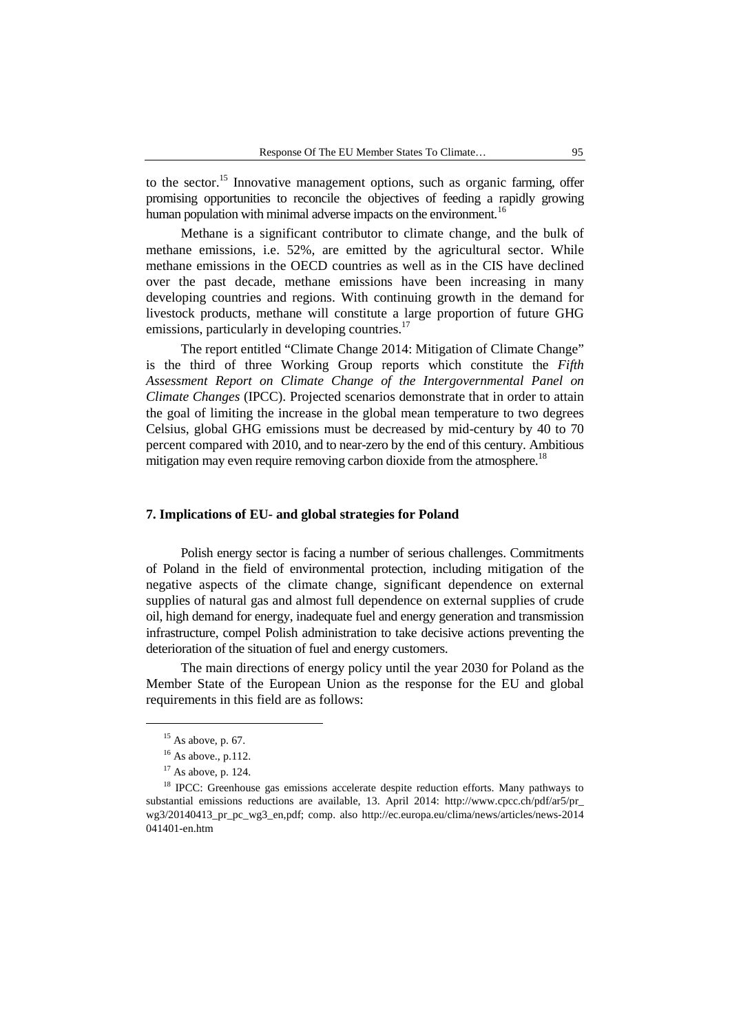to the sector.<sup>15</sup> Innovative management options, such as organic farming, offer promising opportunities to reconcile the objectives of feeding a rapidly growing human population with minimal adverse impacts on the environment.<sup>16</sup>

Methane is a significant contributor to climate change, and the bulk of methane emissions, i.e. 52%, are emitted by the agricultural sector. While methane emissions in the OECD countries as well as in the CIS have declined over the past decade, methane emissions have been increasing in many developing countries and regions. With continuing growth in the demand for livestock products, methane will constitute a large proportion of future GHG emissions, particularly in developing countries.<sup>17</sup>

The report entitled "Climate Change 2014: Mitigation of Climate Change" is the third of three Working Group reports which constitute the *Fifth Assessment Report on Climate Change of the Intergovernmental Panel on Climate Changes* (IPCC). Projected scenarios demonstrate that in order to attain the goal of limiting the increase in the global mean temperature to two degrees Celsius, global GHG emissions must be decreased by mid-century by 40 to 70 percent compared with 2010, and to near-zero by the end of this century. Ambitious mitigation may even require removing carbon dioxide from the atmosphere.<sup>18</sup>

# **7. Implications of EU- and global strategies for Poland**

Polish energy sector is facing a number of serious challenges. Commitments of Poland in the field of environmental protection, including mitigation of the negative aspects of the climate change, significant dependence on external supplies of natural gas and almost full dependence on external supplies of crude oil, high demand for energy, inadequate fuel and energy generation and transmission infrastructure, compel Polish administration to take decisive actions preventing the deterioration of the situation of fuel and energy customers.

The main directions of energy policy until the year 2030 for Poland as the Member State of the European Union as the response for the EU and global requirements in this field are as follows:

 $15$  As above, p. 67.

 $16$  As above., p.112.

<sup>17</sup> As above, p. 124.

<sup>&</sup>lt;sup>18</sup> IPCC: Greenhouse gas emissions accelerate despite reduction efforts. Many pathways to substantial emissions reductions are available, 13. April 2014: http://www.cpcc.ch/pdf/ar5/pr\_ wg3/20140413 pr\_pc\_wg3\_en,pdf; comp. also http://ec.europa.eu/clima/news/articles/news-2014 041401-en.htm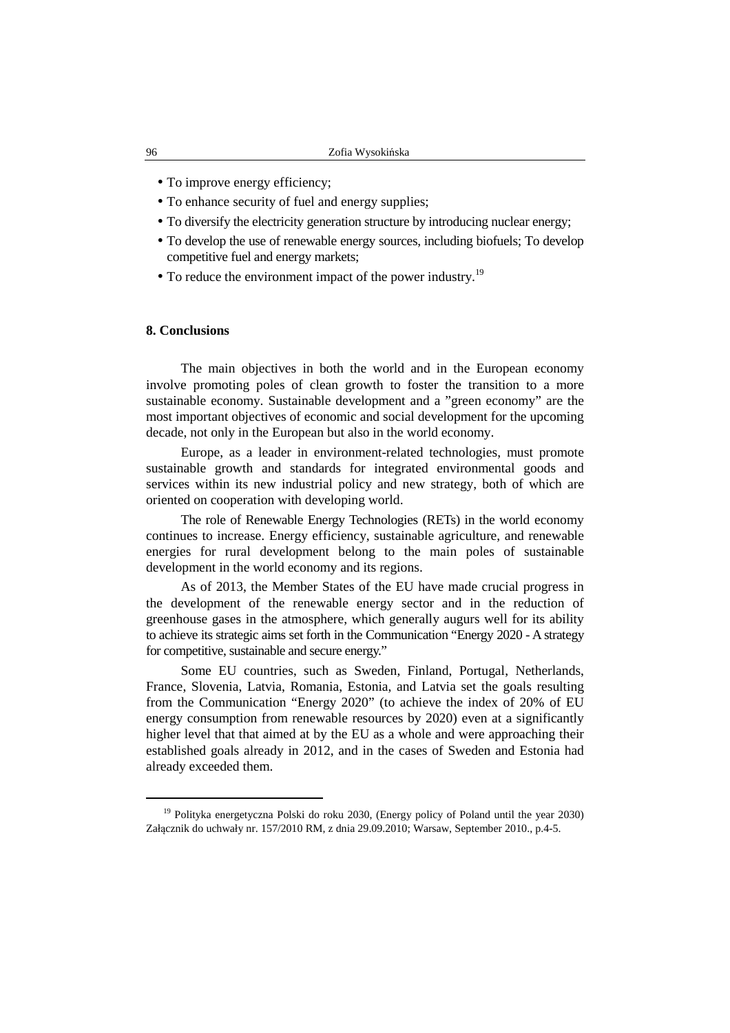- To improve energy efficiency;
- To enhance security of fuel and energy supplies:
- To diversify the electricity generation structure by introducing nuclear energy;
- To develop the use of renewable energy sources, including biofuels; To develop competitive fuel and energy markets;
- To reduce the environment impact of the power industry.<sup>19</sup>

#### **8. Conclusions**

The main objectives in both the world and in the European economy involve promoting poles of clean growth to foster the transition to a more sustainable economy. Sustainable development and a "green economy" are the most important objectives of economic and social development for the upcoming decade, not only in the European but also in the world economy.

Europe, as a leader in environment-related technologies, must promote sustainable growth and standards for integrated environmental goods and services within its new industrial policy and new strategy, both of which are oriented on cooperation with developing world.

The role of Renewable Energy Technologies (RETs) in the world economy continues to increase. Energy efficiency, sustainable agriculture, and renewable energies for rural development belong to the main poles of sustainable development in the world economy and its regions.

As of 2013, the Member States of the EU have made crucial progress in the development of the renewable energy sector and in the reduction of greenhouse gases in the atmosphere, which generally augurs well for its ability to achieve its strategic aims set forth in the Communication "Energy 2020 - A strategy for competitive, sustainable and secure energy."

Some EU countries, such as Sweden, Finland, Portugal, Netherlands, France, Slovenia, Latvia, Romania, Estonia, and Latvia set the goals resulting from the Communication "Energy 2020" (to achieve the index of 20% of EU energy consumption from renewable resources by 2020) even at a significantly higher level that that aimed at by the EU as a whole and were approaching their established goals already in 2012, and in the cases of Sweden and Estonia had already exceeded them.

<sup>&</sup>lt;sup>19</sup> Polityka energetyczna Polski do roku 2030, (Energy policy of Poland until the year 2030) Załącznik do uchwały nr. 157/2010 RM, z dnia 29.09.2010; Warsaw, September 2010., p.4-5.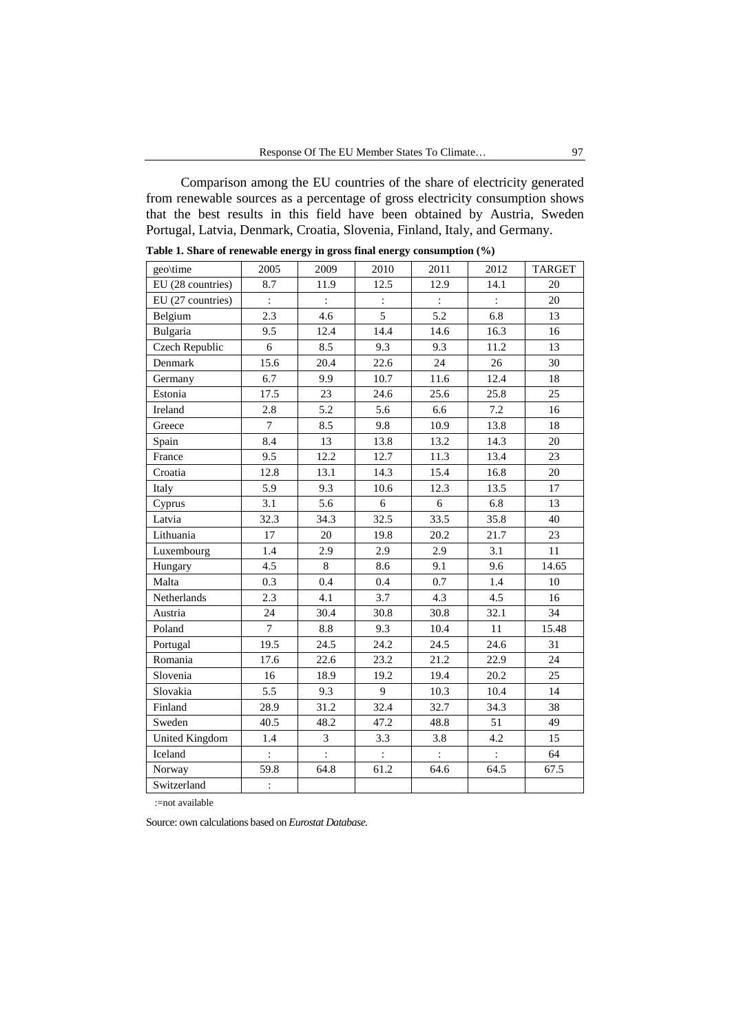Comparison among the EU countries of the share of electricity generated from renewable sources as a percentage of gross electricity consumption shows that the best results in this field have been obtained by Austria, Sweden Portugal, Latvia, Denmark, Croatia, Slovenia, Finland, Italy, and Germany.

| geo\time          | 2005                        | 2009           | 2010           | 2011           | 2012           | <b>TARGET</b> |
|-------------------|-----------------------------|----------------|----------------|----------------|----------------|---------------|
| EU (28 countries) | 8.7                         | 11.9           | 12.5           | 12.9           | 14.1           | 20            |
| EU (27 countries) | $\ddot{\ddot{\varepsilon}}$ | $\ddot{\cdot}$ | $\ddot{\cdot}$ | $\div$         | $\ddot{\cdot}$ | 20            |
| Belgium           | 2.3                         | 4.6            | 5              | 5.2            | 6.8            | 13            |
| Bulgaria          | 9.5                         | 12.4           | 14.4           | 14.6           | 16.3           | 16            |
| Czech Republic    | 6                           | 8.5            | 9.3            | 9.3            | 11.2           | 13            |
| Denmark           | 15.6                        | 20.4           | 22.6           | 24             | 26             | 30            |
| Germany           | 6.7                         | 9.9            | 10.7           | 11.6           | 12.4           | 18            |
| Estonia           | 17.5                        | 23             | 24.6           | 25.6           | 25.8           | 25            |
| Ireland           | 2.8                         | 5.2            | 5.6            | 6.6            | 7.2            | 16            |
| Greece            | $\overline{7}$              | 8.5            | 9.8            | 10.9           | 13.8           | 18            |
| Spain             | 8.4                         | 13             | 13.8           | 13.2           | 14.3           | 20            |
| France            | 9.5                         | 12.2           | 12.7           | 11.3           | 13.4           | 23            |
| Croatia           | 12.8                        | 13.1           | 14.3           | 15.4           | 16.8           | 20            |
| Italy             | 5.9                         | 9.3            | 10.6           | 12.3           | 13.5           | 17            |
| Cyprus            | 3.1                         | 5.6            | 6              | 6              | 6.8            | 13            |
| Latvia            | 32.3                        | 34.3           | 32.5           | 33.5           | 35.8           | 40            |
| Lithuania         | 17                          | 20             | 19.8           | 20.2           | 21.7           | 23            |
| Luxembourg        | 1.4                         | 2.9            | 2.9            | 2.9            | 3.1            | 11            |
| Hungary           | 4.5                         | 8              | 8.6            | 9.1            | 9.6            | 14.65         |
| Malta             | 0.3                         | 0.4            | 0.4            | 0.7            | 1.4            | 10            |
| Netherlands       | 2.3                         | 4.1            | 3.7            | 4.3            | 4.5            | 16            |
| Austria           | 24                          | 30.4           | 30.8           | 30.8           | 32.1           | 34            |
| Poland            | $\tau$                      | 8.8            | 9.3            | 10.4           | 11             | 15.48         |
| Portugal          | 19.5                        | 24.5           | 24.2           | 24.5           | 24.6           | 31            |
| Romania           | 17.6                        | 22.6           | 23.2           | 21.2           | 22.9           | 24            |
| Slovenia          | 16                          | 18.9           | 19.2           | 19.4           | 20.2           | 25            |
| Slovakia          | 5.5                         | 9.3            | 9              | 10.3           | 10.4           | 14            |
| Finland           | 28.9                        | 31.2           | 32.4           | 32.7           | 34.3           | 38            |
| Sweden            | 40.5                        | 48.2           | 47.2           | 48.8           | 51             | 49            |
| United Kingdom    | 1.4                         | 3              | 3.3            | 3.8            | 4.2            | 15            |
| Iceland           |                             |                | $\ddot{\cdot}$ | $\ddot{\cdot}$ |                | 64            |
| Norway            | 59.8                        | 64.8           | 61.2           | 64.6           | 64.5           | 67.5          |
| Switzerland       | $\ddot{\cdot}$              |                |                |                |                |               |

**Table 1. Share of renewable energy in gross final energy consumption (%)** 

:=not available

Source: own calculations based on *Eurostat Database.*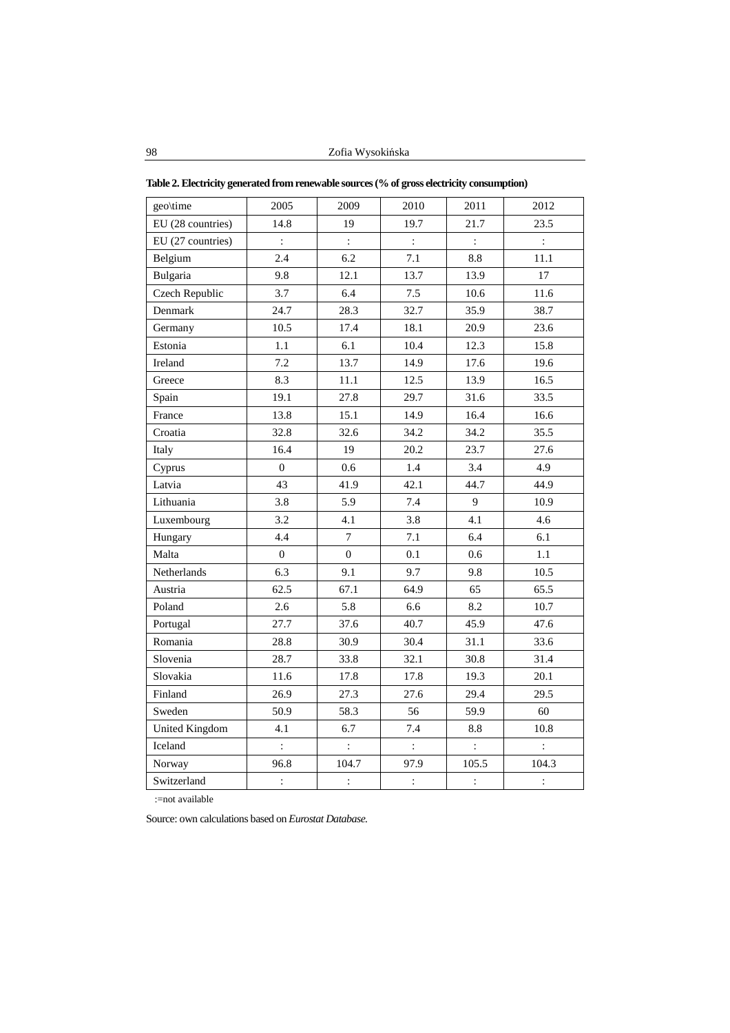| geo\time              | 2005             | 2009           | 2010           | 2011                 | 2012           |
|-----------------------|------------------|----------------|----------------|----------------------|----------------|
| EU (28 countries)     | 14.8             | 19             | 19.7           | 21.7                 | 23.5           |
| EU (27 countries)     | $\ddot{\cdot}$   | $\ddot{\cdot}$ | $\ddot{\cdot}$ | $\ddot{\cdot}$       | $\ddot{\cdot}$ |
| Belgium               | 2.4              | 6.2            | 7.1            | 8.8                  | 11.1           |
| Bulgaria              | 9.8              | 12.1           | 13.7           | 13.9                 | 17             |
| Czech Republic        | 3.7              | 6.4            | 7.5            | 10.6                 | 11.6           |
| Denmark               | 24.7             | 28.3           | 32.7           | 35.9                 | 38.7           |
| Germany               | 10.5             | 17.4           | 18.1           | 20.9                 | 23.6           |
| Estonia               | 1.1              | 6.1            | 10.4           | 12.3                 | 15.8           |
| Ireland               | $7.2\,$          | 13.7           | 14.9           | 17.6                 | 19.6           |
| Greece                | 8.3              | 11.1           | 12.5           | 13.9                 | 16.5           |
| Spain                 | 19.1             | 27.8           | 29.7           | 31.6                 | 33.5           |
| France                | 13.8             | 15.1           | 14.9           | 16.4                 | 16.6           |
| Croatia               | 32.8             | 32.6           | 34.2           | 34.2                 | 35.5           |
| Italy                 | 16.4             | 19             | 20.2           | 23.7                 | 27.6           |
| Cyprus                | $\boldsymbol{0}$ | 0.6            | 1.4            | 3.4                  | 4.9            |
| Latvia                | 43               | 41.9           | 42.1           | 44.7                 | 44.9           |
| Lithuania             | 3.8              | 5.9            | 7.4            | 9                    | 10.9           |
| Luxembourg            | 3.2              | 4.1            | 3.8            | 4.1                  | 4.6            |
| Hungary               | 4.4              | $\overline{7}$ | 7.1            | 6.4                  | 6.1            |
| Malta                 | $\overline{0}$   | $\overline{0}$ | 0.1            | 0.6                  | 1.1            |
| <b>Netherlands</b>    | 6.3              | 9.1            | 9.7            | 9.8                  | 10.5           |
| Austria               | 62.5             | 67.1           | 64.9           | 65                   | 65.5           |
| Poland                | 2.6              | 5.8            | 6.6            | 8.2                  | 10.7           |
| Portugal              | 27.7             | 37.6           | 40.7           | 45.9                 | 47.6           |
| Romania               | 28.8             | 30.9           | 30.4           | 31.1                 | 33.6           |
| Slovenia              | 28.7             | 33.8           | 32.1           | 30.8                 | 31.4           |
| Slovakia              | 11.6             | 17.8           | 17.8           | 19.3                 | 20.1           |
| Finland               | 26.9             | 27.3           | 27.6           | 29.4                 | 29.5           |
| Sweden                | 50.9             | 58.3           | 56             | 59.9                 | 60             |
| <b>United Kingdom</b> | 4.1              | 6.7            | 7.4            | 8.8                  | 10.8           |
| Iceland               | $\ddot{\cdot}$   | $\ddot{\cdot}$ | $\ddot{\cdot}$ | $\ddot{\cdot}$       | $\ddot{\cdot}$ |
| Norway                | 96.8             | 104.7          | 97.9           | 105.5                | 104.3          |
| Switzerland           | $\vdots$         | $\vdots$       | $\ddot{\cdot}$ | $\ddot{\phantom{a}}$ | $\ddot{\cdot}$ |

**Table 2. Electricity generated from renewable sources (% of gross electricity consumption)** 

:=not available

Source: own calculations based on *Eurostat Database.*